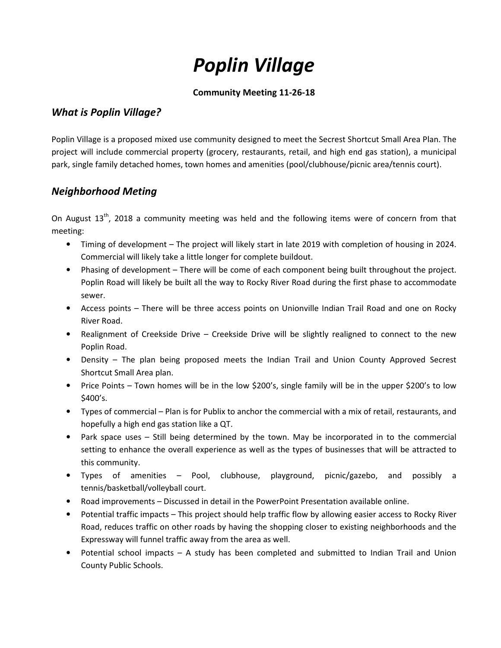# *Poplin Village*

### **Community Meeting 11-26-18**

# *What is Poplin Village?*

Poplin Village is a proposed mixed use community designed to meet the Secrest Shortcut Small Area Plan. The project will include commercial property (grocery, restaurants, retail, and high end gas station), a municipal park, single family detached homes, town homes and amenities (pool/clubhouse/picnic area/tennis court).

# *Neighborhood Meting*

On August  $13<sup>th</sup>$ , 2018 a community meeting was held and the following items were of concern from that meeting:

- Timing of development The project will likely start in late 2019 with completion of housing in 2024. Commercial will likely take a little longer for complete buildout.
- Phasing of development There will be come of each component being built throughout the project. Poplin Road will likely be built all the way to Rocky River Road during the first phase to accommodate sewer.
- Access points There will be three access points on Unionville Indian Trail Road and one on Rocky River Road.
- Realignment of Creekside Drive Creekside Drive will be slightly realigned to connect to the new Poplin Road.
- Density The plan being proposed meets the Indian Trail and Union County Approved Secrest Shortcut Small Area plan.
- Price Points Town homes will be in the low \$200's, single family will be in the upper \$200's to low \$400's.
- Types of commercial Plan is for Publix to anchor the commercial with a mix of retail, restaurants, and hopefully a high end gas station like a QT.
- Park space uses Still being determined by the town. May be incorporated in to the commercial setting to enhance the overall experience as well as the types of businesses that will be attracted to this community.
- Types of amenities Pool, clubhouse, playground, picnic/gazebo, and possibly a tennis/basketball/volleyball court.
- Road improvements Discussed in detail in the PowerPoint Presentation available online.
- Potential traffic impacts This project should help traffic flow by allowing easier access to Rocky River Road, reduces traffic on other roads by having the shopping closer to existing neighborhoods and the Expressway will funnel traffic away from the area as well.
- Potential school impacts A study has been completed and submitted to Indian Trail and Union County Public Schools.